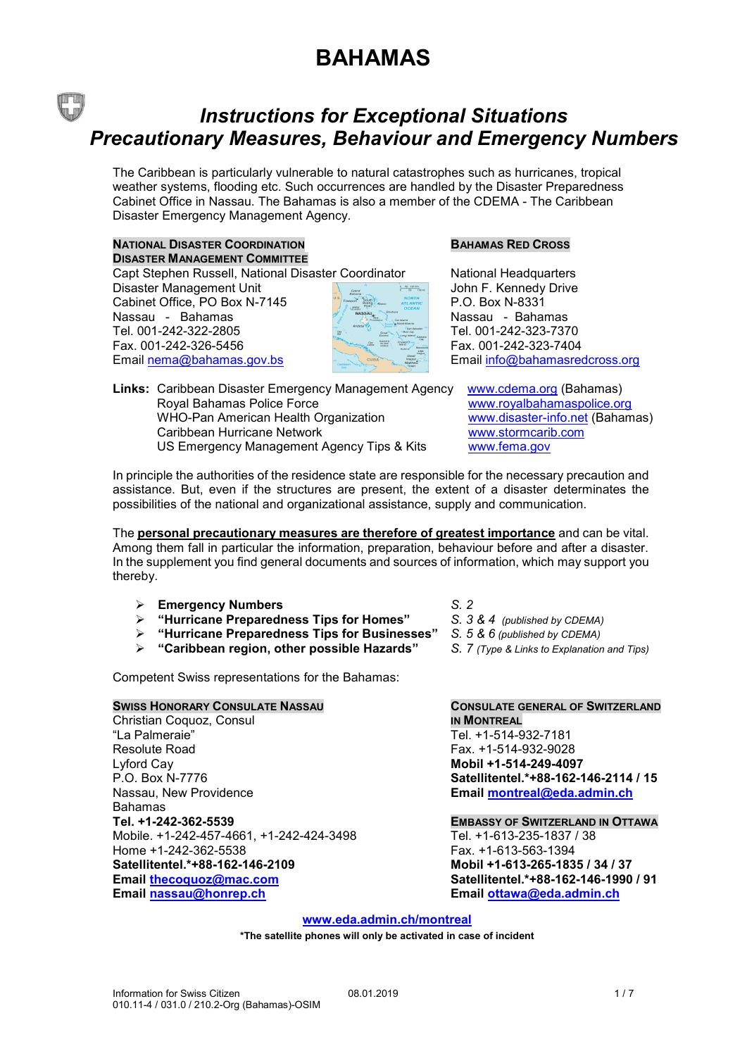### *Instructions for Exceptional Situations Precautionary Measures, Behaviour and Emergency Numbers*

The Caribbean is particularly vulnerable to natural catastrophes such as hurricanes, tropical weather systems, flooding etc. Such occurrences are handled by the Disaster Preparedness Cabinet Office in Nassau. The Bahamas is also a member of the CDEMA - The Caribbean Disaster Emergency Management Agency.

#### **NATIONAL DISASTER COORDINATION BAHAMAS RED CROSS DISASTER MANAGEMENT COMMITTEE**

Capt Stephen Russell, National Disaster Coordinator Mational Headquarters<br>Disaster Management Unit National National Media Museum John F. Kennedy Drive

Disaster Management Unit Cabinet Office, PO Box N-7145 Nassau - Bahamas Nassau - Bahamas Tel. 001-242-322-2805 Tel. 001-242-323-7370 Fax. 001-242-326-5456 Fax. 001-242-323-7404



Email nema@bahamas.gov.bs Email [info@bahamasredcross.org](mailto:info@bahamasredcross.org)

| Links: Caribbean Disaster Emergency Management Agency |
|-------------------------------------------------------|
| Royal Bahamas Police Force                            |
| WHO-Pan American Health Organization                  |
| Caribbean Hurricane Network                           |
| US Emergency Management Agency Tips & Kits            |
|                                                       |

[www.cdema.org](http://www.cdema.org/) (Bahamas) www.royalbahamaspolice.org www.disaster-info.net (Bahamas) www.stormcarib.com [www.fema.gov](http://www.fema.gov/)

In principle the authorities of the residence state are responsible for the necessary precaution and assistance. But, even if the structures are present, the extent of a disaster determinates the possibilities of the national and organizational assistance, supply and communication.

The **personal precautionary measures are therefore of greatest importance** and can be vital. Among them fall in particular the information, preparation, behaviour before and after a disaster. In the supplement you find general documents and sources of information, which may support you thereby.

- **Emergency Numbers** *S. 2*
- **"Hurricane Preparedness Tips for Homes"** *S. 3 & 4 (published by CDEMA)*
- **"Hurricane Preparedness Tips for Businesses"** *S. 5 & 6 (published by CDEMA)*
- **"Caribbean region, other possible Hazards"** *S. 7 (Type & Links to Explanation and Tips)*

Competent Swiss representations for the Bahamas:

Christian Coquoz, Consul **IN MONTREAL** Resolute Road Fax. +1-514-932-9028 Lyford Cay **Mobil +1-514-249-4097** Nassau, New Providence **Email [montreal@eda.admin.ch](mailto:montreal@eda.admin.ch)** Bahamas<br>Tel. +1-242-362-5539 Mobile. +1-242-457-4661, +1-242-424-3498 Tel. +1-613-235-1837 / 38 Home +1-242-362-5538<br> **Satellitentel.\*+88-162-146-2109** Fax. +1-613-563-1394<br>
Mobil +1-613-265-1835 / 34 / 37 **Satellitentel.\*+88-162-146-2109 Mobil +1-613-265-1835 / 34 / 37 Email [thecoquoz@mac.com](mailto:thecoquoz@mac.com) Satellitentel.\*+88-162-146-1990 / 91 Email [nassau@honrep.ch](mailto:nassau@honrep.ch) Email [ottawa@eda.admin.ch](mailto:ottawa@eda.admin.ch)**

- 
- 
- 

# **SWISS HONORARY CONSULATE NASSAU CONSULATE GENERAL OF SWITZERLAND**

Tel. +1-514-932-7181 P.O. Box N-7776 **Satellitentel.\*+88-162-146-2114 / 15**

#### **Tel. +1-242-362-5539 EMBASSY OF SWITZERLAND IN OTTAWA**

**www.eda[.admin.](https://www.eda.admin.ch/montreal)ch[/montreal](https://www.eda.admin.ch/montreal)**

**\*The satellite phones will only be activated in case of incident**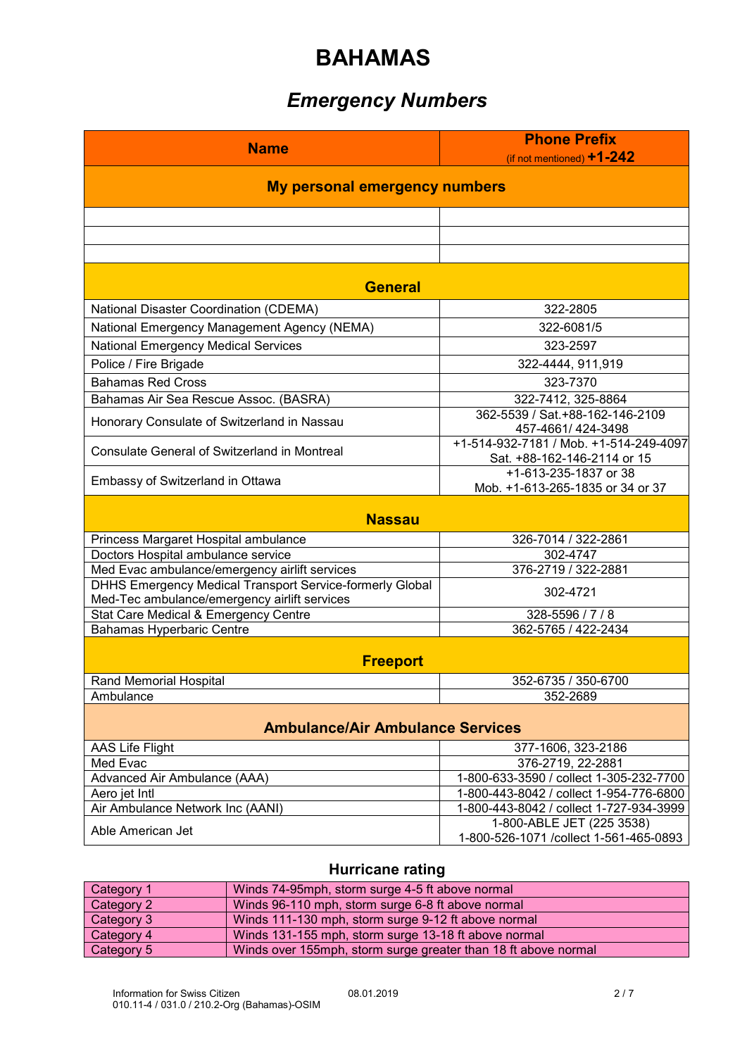### *Emergency Numbers*

| <b>Name</b>                                                              | <b>Phone Prefix</b><br>(if not mentioned) $+1$ -242                   |  |  |
|--------------------------------------------------------------------------|-----------------------------------------------------------------------|--|--|
| <b>My personal emergency numbers</b>                                     |                                                                       |  |  |
|                                                                          |                                                                       |  |  |
|                                                                          |                                                                       |  |  |
|                                                                          |                                                                       |  |  |
| <b>General</b>                                                           |                                                                       |  |  |
| <b>National Disaster Coordination (CDEMA)</b>                            | 322-2805                                                              |  |  |
| National Emergency Management Agency (NEMA)                              | 322-6081/5                                                            |  |  |
| <b>National Emergency Medical Services</b>                               | 323-2597                                                              |  |  |
| Police / Fire Brigade                                                    | 322-4444, 911,919                                                     |  |  |
| <b>Bahamas Red Cross</b>                                                 | 323-7370                                                              |  |  |
| Bahamas Air Sea Rescue Assoc. (BASRA)                                    | 322-7412, 325-8864                                                    |  |  |
| Honorary Consulate of Switzerland in Nassau                              | 362-5539 / Sat.+88-162-146-2109<br>457-4661/424-3498                  |  |  |
| <b>Consulate General of Switzerland in Montreal</b>                      | +1-514-932-7181 / Mob. +1-514-249-4097<br>Sat. +88-162-146-2114 or 15 |  |  |
| Embassy of Switzerland in Ottawa                                         | +1-613-235-1837 or 38<br>Mob. +1-613-265-1835 or 34 or 37             |  |  |
| <b>Nassau</b>                                                            |                                                                       |  |  |
| Princess Margaret Hospital ambulance                                     | 326-7014 / 322-2861                                                   |  |  |
| Doctors Hospital ambulance service                                       | 302-4747                                                              |  |  |
| Med Evac ambulance/emergency airlift services                            | 376-2719 / 322-2881                                                   |  |  |
| DHHS Emergency Medical Transport Service-formerly Global                 | 302-4721                                                              |  |  |
| Med-Tec ambulance/emergency airlift services                             | 328-5596 / 7 / 8                                                      |  |  |
| Stat Care Medical & Emergency Centre<br><b>Bahamas Hyperbaric Centre</b> | 362-5765 / 422-2434                                                   |  |  |
| <b>Freeport</b>                                                          |                                                                       |  |  |
| <b>Rand Memorial Hospital</b>                                            | 352-6735 / 350-6700                                                   |  |  |
| Ambulance                                                                | 352-2689                                                              |  |  |
| <b>Ambulance/Air Ambulance Services</b>                                  |                                                                       |  |  |
| AAS Life Flight                                                          | 377-1606, 323-2186                                                    |  |  |
| Med Evac                                                                 | 376-2719, 22-2881                                                     |  |  |
| Advanced Air Ambulance (AAA)                                             | 1-800-633-3590 / collect 1-305-232-7700                               |  |  |
| Aero jet Intl                                                            | 1-800-443-8042 / collect 1-954-776-6800                               |  |  |
| Air Ambulance Network Inc (AANI)                                         | 1-800-443-8042 / collect 1-727-934-3999                               |  |  |
| Able American Jet                                                        | 1-800-ABLE JET (225 3538)<br>1-800-526-1071 /collect 1-561-465-0893   |  |  |

### **Hurricane rating**

| Category 1 | Winds 74-95mph, storm surge 4-5 ft above normal                |
|------------|----------------------------------------------------------------|
| Category 2 | Winds 96-110 mph, storm surge 6-8 ft above normal              |
| Category 3 | Winds 111-130 mph, storm surge 9-12 ft above normal            |
| Category 4 | Winds 131-155 mph, storm surge 13-18 ft above normal           |
| Category 5 | Winds over 155mph, storm surge greater than 18 ft above normal |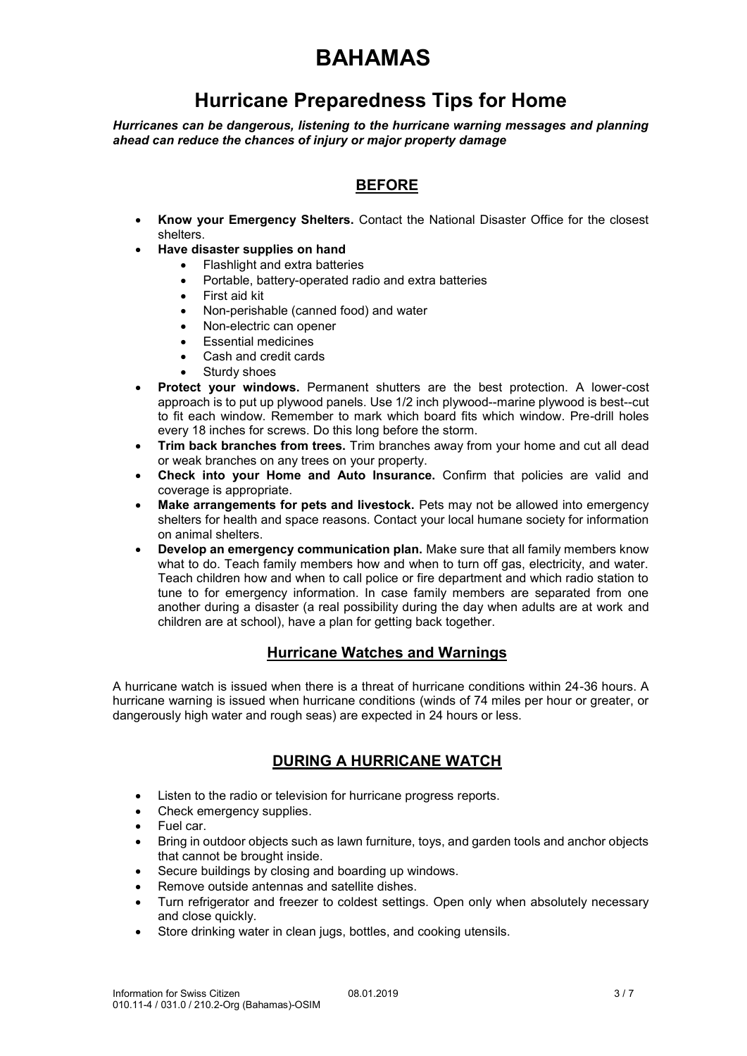### **Hurricane Preparedness Tips for Home**

*Hurricanes can be dangerous, listening to the hurricane warning messages and planning ahead can reduce the chances of injury or major property damage*

### **BEFORE**

- **Know your Emergency Shelters.** Contact the National Disaster Office for the closest shelters.
- **Have disaster supplies on hand**
	- Flashlight and extra batteries
	- Portable, battery-operated radio and extra batteries
	- First aid kit
	- Non-perishable (canned food) and water
	- Non-electric can opener
	- Essential medicines
	- Cash and credit cards
	- Sturdy shoes
- **Protect your windows.** Permanent shutters are the best protection. A lower-cost approach is to put up plywood panels. Use 1/2 inch plywood--marine plywood is best--cut to fit each window. Remember to mark which board fits which window. Pre-drill holes every 18 inches for screws. Do this long before the storm.
- **Trim back branches from trees.** Trim branches away from your home and cut all dead or weak branches on any trees on your property.
- **Check into your Home and Auto Insurance.** Confirm that policies are valid and coverage is appropriate.
- **Make arrangements for pets and livestock.** Pets may not be allowed into emergency shelters for health and space reasons. Contact your local humane society for information on animal shelters.
- **Develop an emergency communication plan.** Make sure that all family members know what to do. Teach family members how and when to turn off gas, electricity, and water. Teach children how and when to call police or fire department and which radio station to tune to for emergency information. In case family members are separated from one another during a disaster (a real possibility during the day when adults are at work and children are at school), have a plan for getting back together.

#### **Hurricane Watches and Warnings**

A hurricane watch is issued when there is a threat of hurricane conditions within 24-36 hours. A hurricane warning is issued when hurricane conditions (winds of 74 miles per hour or greater, or dangerously high water and rough seas) are expected in 24 hours or less.

#### **DURING A HURRICANE WATCH**

- Listen to the radio or television for hurricane progress reports.
- Check emergency supplies.
- Fuel car.
- Bring in outdoor objects such as lawn furniture, toys, and garden tools and anchor objects that cannot be brought inside.
- Secure buildings by closing and boarding up windows.
- Remove outside antennas and satellite dishes.
- Turn refrigerator and freezer to coldest settings. Open only when absolutely necessary and close quickly.
- Store drinking water in clean jugs, bottles, and cooking utensils.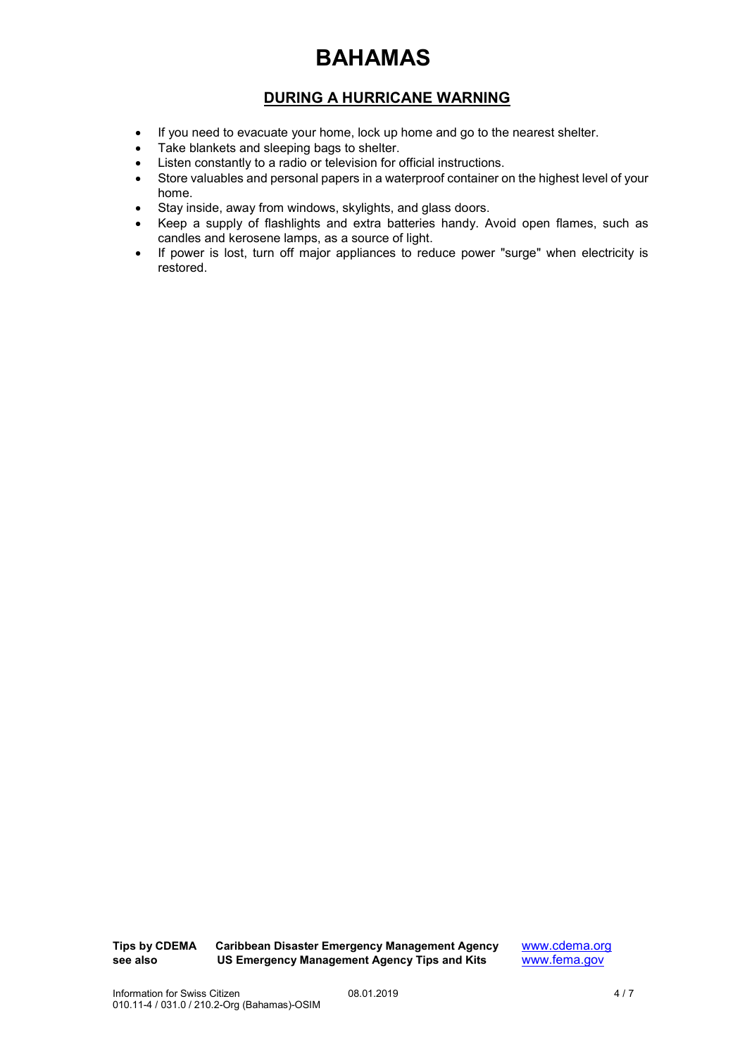#### **DURING A HURRICANE WARNING**

- If you need to evacuate your home, lock up home and go to the nearest shelter.
- Take blankets and sleeping bags to shelter.
- Listen constantly to a radio or television for official instructions.
- Store valuables and personal papers in a waterproof container on the highest level of your home.
- Stay inside, away from windows, skylights, and glass doors.
- Keep a supply of flashlights and extra batteries handy. Avoid open flames, such as candles and kerosene lamps, as a source of light.
- If power is lost, turn off major appliances to reduce power "surge" when electricity is restored.

**Tips by CDEMA** Caribbean Disaster Emergency Management Agency [www.cdema.org](http://www.cdema.org/)<br>see also US Emergency Management Agency Tips and Kits www.fema.gov **US Emergency Management Agency Tips and Kits**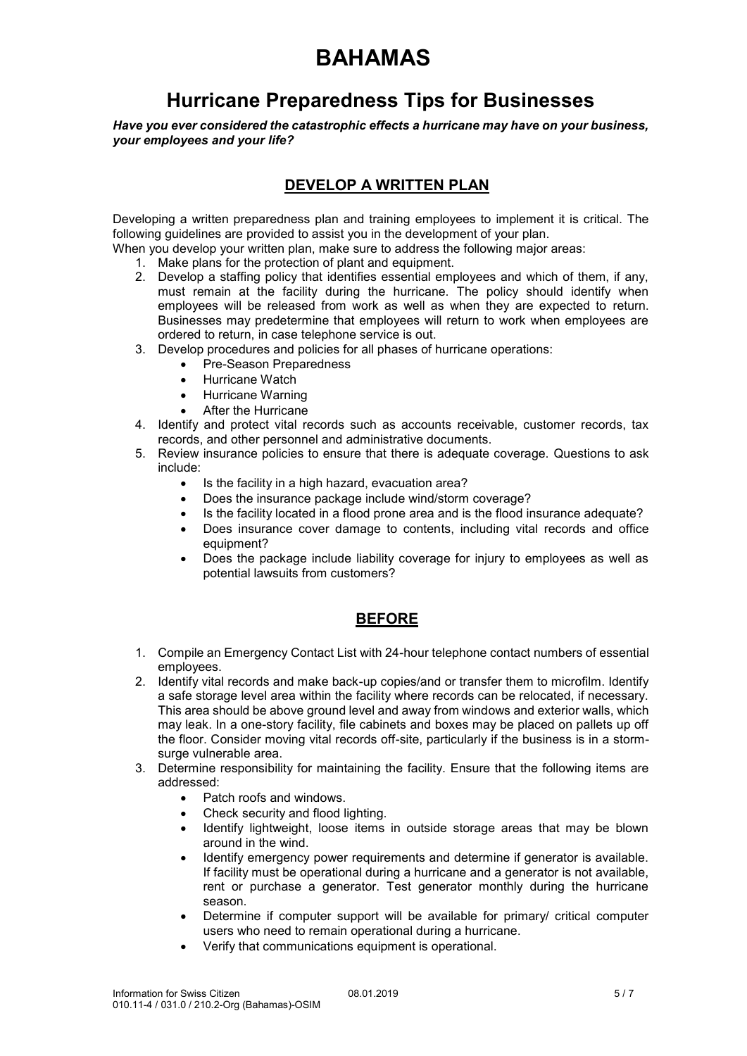### **Hurricane Preparedness Tips for Businesses**

*Have you ever considered the catastrophic effects a hurricane may have on your business, your employees and your life?*

#### **DEVELOP A WRITTEN PLAN**

Developing a written preparedness plan and training employees to implement it is critical. The following guidelines are provided to assist you in the development of your plan.

When you develop your written plan, make sure to address the following major areas:

- 1. Make plans for the protection of plant and equipment.
- 2. Develop a staffing policy that identifies essential employees and which of them, if any, must remain at the facility during the hurricane. The policy should identify when employees will be released from work as well as when they are expected to return. Businesses may predetermine that employees will return to work when employees are ordered to return, in case telephone service is out.
- 3. Develop procedures and policies for all phases of hurricane operations:
	- Pre-Season Preparedness
	- Hurricane Watch
	- Hurricane Warning
	- After the Hurricane
- 4. Identify and protect vital records such as accounts receivable, customer records, tax records, and other personnel and administrative documents.
- 5. Review insurance policies to ensure that there is adequate coverage. Questions to ask include:
	- Is the facility in a high hazard, evacuation area?
	- Does the insurance package include wind/storm coverage?
	- Is the facility located in a flood prone area and is the flood insurance adequate?
	- Does insurance cover damage to contents, including vital records and office equipment?
	- Does the package include liability coverage for injury to employees as well as potential lawsuits from customers?

#### **BEFORE**

- 1. Compile an Emergency Contact List with 24-hour telephone contact numbers of essential employees.
- 2. Identify vital records and make back-up copies/and or transfer them to microfilm. Identify a safe storage level area within the facility where records can be relocated, if necessary. This area should be above ground level and away from windows and exterior walls, which may leak. In a one-story facility, file cabinets and boxes may be placed on pallets up off the floor. Consider moving vital records off-site, particularly if the business is in a stormsurge vulnerable area.
- 3. Determine responsibility for maintaining the facility. Ensure that the following items are addressed:
	- Patch roofs and windows.
	- Check security and flood lighting.
	- Identify lightweight, loose items in outside storage areas that may be blown around in the wind.
	- Identify emergency power requirements and determine if generator is available. If facility must be operational during a hurricane and a generator is not available, rent or purchase a generator. Test generator monthly during the hurricane season.
	- Determine if computer support will be available for primary/ critical computer users who need to remain operational during a hurricane.
	- Verify that communications equipment is operational.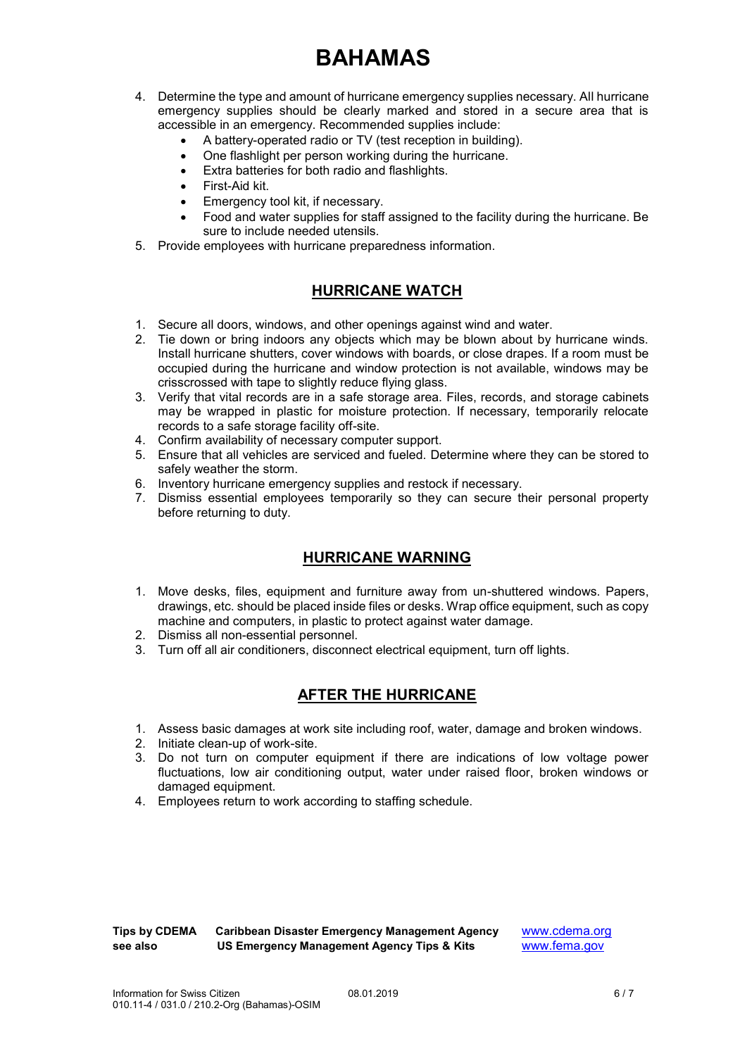- 4. Determine the type and amount of hurricane emergency supplies necessary. All hurricane emergency supplies should be clearly marked and stored in a secure area that is accessible in an emergency. Recommended supplies include:
	- A battery-operated radio or TV (test reception in building).
	- One flashlight per person working during the hurricane.
	- Extra batteries for both radio and flashlights.
	- First-Aid kit.
	- Emergency tool kit, if necessary.
	- Food and water supplies for staff assigned to the facility during the hurricane. Be sure to include needed utensils.
- 5. Provide employees with hurricane preparedness information.

#### **HURRICANE WATCH**

- 1. Secure all doors, windows, and other openings against wind and water.
- 2. Tie down or bring indoors any objects which may be blown about by hurricane winds. Install hurricane shutters, cover windows with boards, or close drapes. If a room must be occupied during the hurricane and window protection is not available, windows may be crisscrossed with tape to slightly reduce flying glass.
- 3. Verify that vital records are in a safe storage area. Files, records, and storage cabinets may be wrapped in plastic for moisture protection. If necessary, temporarily relocate records to a safe storage facility off-site.
- 4. Confirm availability of necessary computer support.
- 5. Ensure that all vehicles are serviced and fueled. Determine where they can be stored to safely weather the storm.
- 6. Inventory hurricane emergency supplies and restock if necessary.
- 7. Dismiss essential employees temporarily so they can secure their personal property before returning to duty.

#### **HURRICANE WARNING**

- 1. Move desks, files, equipment and furniture away from un-shuttered windows. Papers, drawings, etc. should be placed inside files or desks. Wrap office equipment, such as copy machine and computers, in plastic to protect against water damage.
- 2. Dismiss all non-essential personnel.
- 3. Turn off all air conditioners, disconnect electrical equipment, turn off lights.

#### **AFTER THE HURRICANE**

- 1. Assess basic damages at work site including roof, water, damage and broken windows.
- 2. Initiate clean-up of work-site.
- 3. Do not turn on computer equipment if there are indications of low voltage power fluctuations, low air conditioning output, water under raised floor, broken windows or damaged equipment.
- 4. Employees return to work according to staffing schedule.

**Tips by CDEMA Caribbean Disaster Emergency Management Agency** [www.cdema.org](http://www.cdema.org/) **see also US Emergency Management Agency Tips & Kits** www.fema.gov